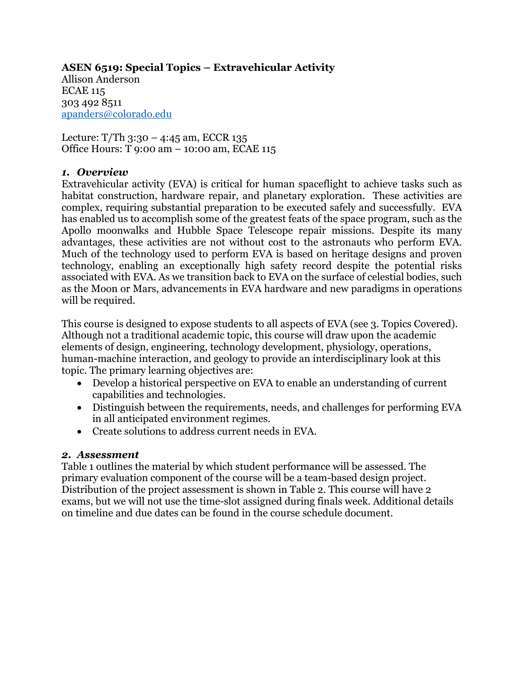# **ASEN 6519: Special Topics – Extravehicular Activity** Allison Anderson

ECAE 115 303 492 8511 apanders@colorado.edu

Lecture:  $T/Th$  3:30 – 4:45 am, ECCR 135 Office Hours: T 9:00 am – 10:00 am, ECAE 115

#### *1. Overview*

Extravehicular activity (EVA) is critical for human spaceflight to achieve tasks such as habitat construction, hardware repair, and planetary exploration. These activities are complex, requiring substantial preparation to be executed safely and successfully. EVA has enabled us to accomplish some of the greatest feats of the space program, such as the Apollo moonwalks and Hubble Space Telescope repair missions. Despite its many advantages, these activities are not without cost to the astronauts who perform EVA. Much of the technology used to perform EVA is based on heritage designs and proven technology, enabling an exceptionally high safety record despite the potential risks associated with EVA. As we transition back to EVA on the surface of celestial bodies, such as the Moon or Mars, advancements in EVA hardware and new paradigms in operations will be required.

This course is designed to expose students to all aspects of EVA (see 3. Topics Covered). Although not a traditional academic topic, this course will draw upon the academic elements of design, engineering, technology development, physiology, operations, human-machine interaction, and geology to provide an interdisciplinary look at this topic. The primary learning objectives are:

- Develop a historical perspective on EVA to enable an understanding of current capabilities and technologies.
- Distinguish between the requirements, needs, and challenges for performing EVA in all anticipated environment regimes.
- Create solutions to address current needs in EVA.

#### *2. Assessment*

Table 1 outlines the material by which student performance will be assessed. The primary evaluation component of the course will be a team-based design project. Distribution of the project assessment is shown in Table 2. This course will have 2 exams, but we will not use the time-slot assigned during finals week. Additional details on timeline and due dates can be found in the course schedule document.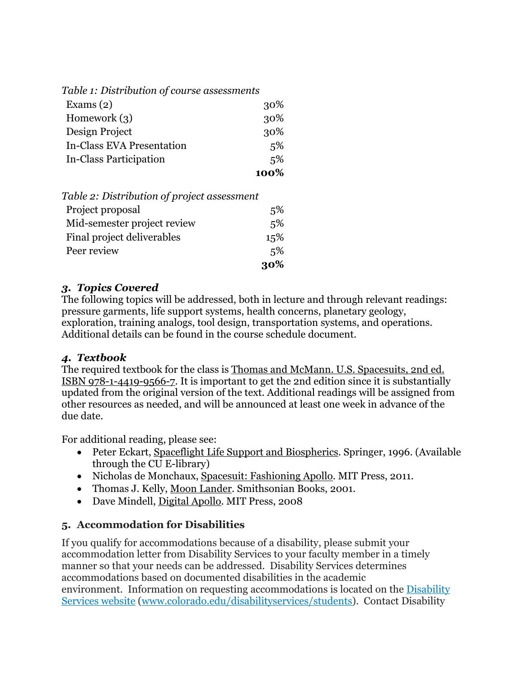| Table 1: Distribution of course assessments |        |
|---------------------------------------------|--------|
| Exams $(2)$                                 | 30%    |
| Homework $(3)$                              | 30%    |
| Design Project                              | 30%    |
| <b>In-Class EVA Presentation</b>            | $.5\%$ |
| In-Class Participation                      | 5%     |
|                                             | 100%   |
| Table 2: Distribution of project assessment |        |

| rable 2. Distribution of project assessment |     |
|---------------------------------------------|-----|
| Project proposal                            | 5%  |
| Mid-semester project review                 | 5%  |
| Final project deliverables                  | 15% |
| Peer review                                 | 5%  |
|                                             | 30% |

#### *3. Topics Covered*

The following topics will be addressed, both in lecture and through relevant readings: pressure garments, life support systems, health concerns, planetary geology, exploration, training analogs, tool design, transportation systems, and operations. Additional details can be found in the course schedule document.

#### *4. Textbook*

The required textbook for the class is Thomas and McMann. U.S. Spacesuits, 2nd ed. ISBN 978-1-4419-9566-7. It is important to get the 2nd edition since it is substantially updated from the original version of the text. Additional readings will be assigned from other resources as needed, and will be announced at least one week in advance of the due date.

For additional reading, please see:

- Peter Eckart, Spaceflight Life Support and Biospherics. Springer, 1996. (Available through the CU E-library)
- Nicholas de Monchaux, Spacesuit: Fashioning Apollo. MIT Press, 2011.
- Thomas J. Kelly, Moon Lander. Smithsonian Books, 2001.
- Dave Mindell, Digital Apollo. MIT Press, 2008

#### **5. Accommodation for Disabilities**

If you qualify for accommodations because of a disability, please submit your accommodation letter from Disability Services to your faculty member in a timely manner so that your needs can be addressed. Disability Services determines accommodations based on documented disabilities in the academic environment. Information on requesting accommodations is located on the Disability Services website (www.colorado.edu/disabilityservices/students). Contact Disability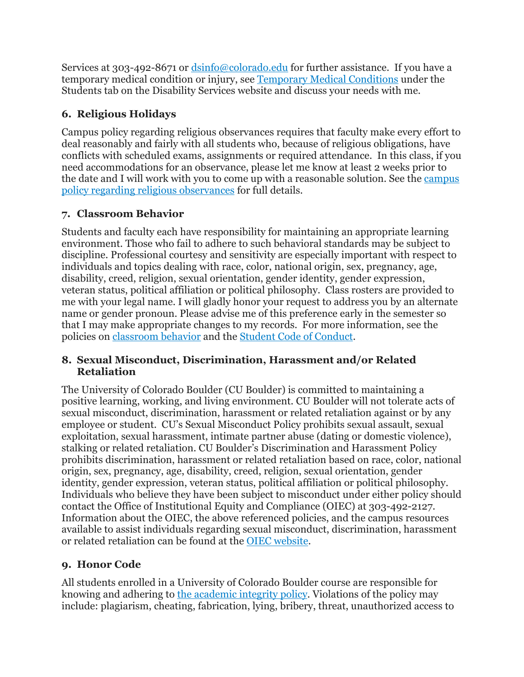Services at 303-492-8671 or  $\frac{d\sin 6}{d\cosh 2}$  or further assistance. If you have a temporary medical condition or injury, see Temporary Medical Conditions under the Students tab on the Disability Services website and discuss your needs with me.

## **6. Religious Holidays**

Campus policy regarding religious observances requires that faculty make every effort to deal reasonably and fairly with all students who, because of religious obligations, have conflicts with scheduled exams, assignments or required attendance. In this class, if you need accommodations for an observance, please let me know at least 2 weeks prior to the date and I will work with you to come up with a reasonable solution. See the campus policy regarding religious observances for full details.

## **7. Classroom Behavior**

Students and faculty each have responsibility for maintaining an appropriate learning environment. Those who fail to adhere to such behavioral standards may be subject to discipline. Professional courtesy and sensitivity are especially important with respect to individuals and topics dealing with race, color, national origin, sex, pregnancy, age, disability, creed, religion, sexual orientation, gender identity, gender expression, veteran status, political affiliation or political philosophy. Class rosters are provided to me with your legal name. I will gladly honor your request to address you by an alternate name or gender pronoun. Please advise me of this preference early in the semester so that I may make appropriate changes to my records. For more information, see the policies on classroom behavior and the Student Code of Conduct.

### **8. Sexual Misconduct, Discrimination, Harassment and/or Related Retaliation**

The University of Colorado Boulder (CU Boulder) is committed to maintaining a positive learning, working, and living environment. CU Boulder will not tolerate acts of sexual misconduct, discrimination, harassment or related retaliation against or by any employee or student. CU's Sexual Misconduct Policy prohibits sexual assault, sexual exploitation, sexual harassment, intimate partner abuse (dating or domestic violence), stalking or related retaliation. CU Boulder's Discrimination and Harassment Policy prohibits discrimination, harassment or related retaliation based on race, color, national origin, sex, pregnancy, age, disability, creed, religion, sexual orientation, gender identity, gender expression, veteran status, political affiliation or political philosophy. Individuals who believe they have been subject to misconduct under either policy should contact the Office of Institutional Equity and Compliance (OIEC) at 303-492-2127. Information about the OIEC, the above referenced policies, and the campus resources available to assist individuals regarding sexual misconduct, discrimination, harassment or related retaliation can be found at the OIEC website.

## **9. Honor Code**

All students enrolled in a University of Colorado Boulder course are responsible for knowing and adhering to the academic integrity policy. Violations of the policy may include: plagiarism, cheating, fabrication, lying, bribery, threat, unauthorized access to